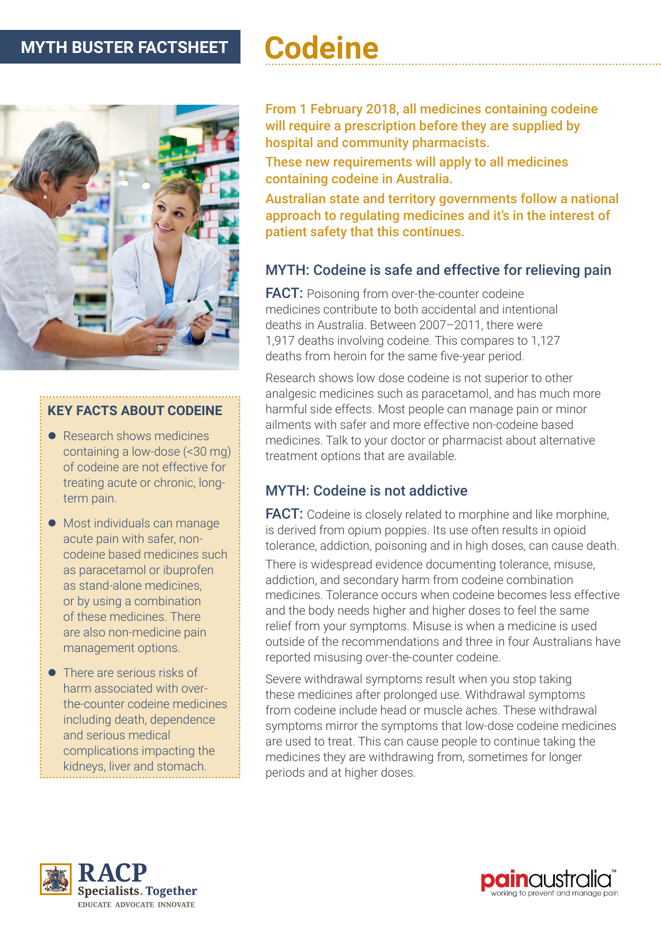# **MYTH BUSTER FACTSHEET**

# **Codeine**



#### **KEY FACTS ABOUT CODEINE**

- $\bullet$  Research shows medicines containing a low-dose (<30 mg) of codeine are not effective for treating acute or chronic, longterm pain.
- Most individuals can manage acute pain with safer, noncodeine based medicines such as paracetamol or ibuprofen as stand-alone medicines, or by using a combination of these medicines. There are also non-medicine pain management options.
- $\bullet$  There are serious risks of harm associated with overthe-counter codeine medicines including death, dependence and serious medical complications impacting the kidneys, liver and stomach.

From 1 February 2018, all medicines containing codeine will require a prescription before they are supplied by hospital and community pharmacists.

These new requirements will apply to all medicines containing codeine in Australia.

Australian state and territory governments follow a national approach to regulating medicines and it's in the interest of patient safety that this continues.

## MYTH: Codeine is safe and effective for relieving pain

**FACT:** Poisoning from over-the-counter codeine medicines contribute to both accidental and intentional deaths in Australia. Between 2007–2011, there were 1,917 deaths involving codeine. This compares to 1,127 deaths from heroin for the same five-year period.

Research shows low dose codeine is not superior to other analgesic medicines such as paracetamol, and has much more harmful side effects. Most people can manage pain or minor ailments with safer and more effective non-codeine based medicines. Talk to your doctor or pharmacist about alternative treatment options that are available.

#### MYTH: Codeine is not addictive

FACT: Codeine is closely related to morphine and like morphine, is derived from opium poppies. Its use often results in opioid tolerance, addiction, poisoning and in high doses, can cause death.

There is widespread evidence documenting tolerance, misuse, addiction, and secondary harm from codeine combination medicines. Tolerance occurs when codeine becomes less effective and the body needs higher and higher doses to feel the same relief from your symptoms. Misuse is when a medicine is used outside of the recommendations and three in four Australians have reported misusing over-the-counter codeine.

Severe withdrawal symptoms result when you stop taking these medicines after prolonged use. Withdrawal symptoms from codeine include head or muscle aches. These withdrawal symptoms mirror the symptoms that low-dose codeine medicines are used to treat. This can cause people to continue taking the medicines they are withdrawing from, sometimes for longer periods and at higher doses.



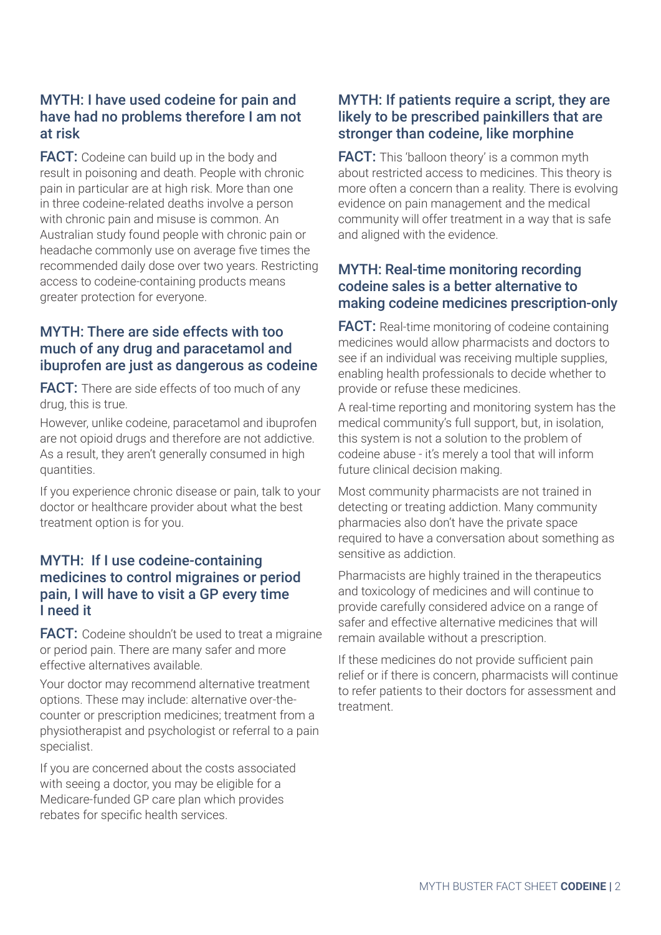## MYTH: I have used codeine for pain and have had no problems therefore I am not at risk

**FACT:** Codeine can build up in the body and result in poisoning and death. People with chronic pain in particular are at high risk. More than one in three codeine-related deaths involve a person with chronic pain and misuse is common. An Australian study found people with chronic pain or headache commonly use on average five times the recommended daily dose over two years. Restricting access to codeine-containing products means greater protection for everyone.

#### MYTH: There are side effects with too much of any drug and paracetamol and ibuprofen are just as dangerous as codeine

**FACT:** There are side effects of too much of any drug, this is true.

However, unlike codeine, paracetamol and ibuprofen are not opioid drugs and therefore are not addictive. As a result, they aren't generally consumed in high quantities.

If you experience chronic disease or pain, talk to your doctor or healthcare provider about what the best treatment option is for you.

#### MYTH: If I use codeine-containing medicines to control migraines or period pain, I will have to visit a GP every time I need it

**FACT:** Codeine shouldn't be used to treat a migraine or period pain. There are many safer and more effective alternatives available.

Your doctor may recommend alternative treatment options. These may include: alternative over-thecounter or prescription medicines; treatment from a physiotherapist and psychologist or referral to a pain specialist.

If you are concerned about the costs associated with seeing a doctor, you may be eligible for a Medicare-funded GP care plan which provides rebates for specific health services.

#### MYTH: If patients require a script, they are likely to be prescribed painkillers that are stronger than codeine, like morphine

**FACT:** This 'balloon theory' is a common myth about restricted access to medicines. This theory is more often a concern than a reality. There is evolving evidence on pain management and the medical community will offer treatment in a way that is safe and aligned with the evidence.

#### MYTH: Real-time monitoring recording codeine sales is a better alternative to making codeine medicines prescription-only

**FACT:** Real-time monitoring of codeine containing medicines would allow pharmacists and doctors to see if an individual was receiving multiple supplies, enabling health professionals to decide whether to provide or refuse these medicines.

A real-time reporting and monitoring system has the medical community's full support, but, in isolation, this system is not a solution to the problem of codeine abuse - it's merely a tool that will inform future clinical decision making.

Most community pharmacists are not trained in detecting or treating addiction. Many community pharmacies also don't have the private space required to have a conversation about something as sensitive as addiction.

Pharmacists are highly trained in the therapeutics and toxicology of medicines and will continue to provide carefully considered advice on a range of safer and effective alternative medicines that will remain available without a prescription.

If these medicines do not provide sufficient pain relief or if there is concern, pharmacists will continue to refer patients to their doctors for assessment and treatment.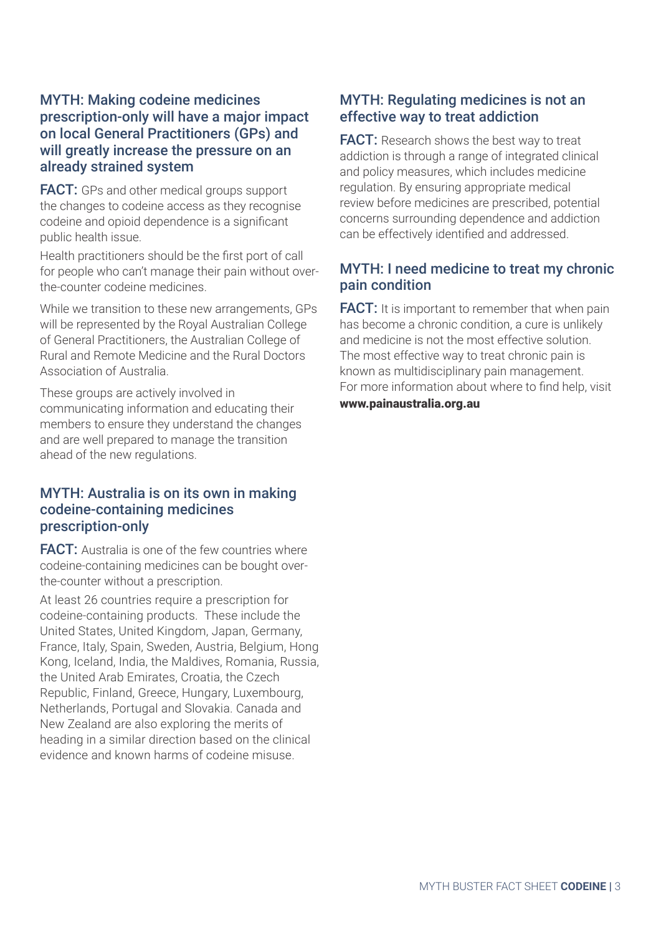#### MYTH: Making codeine medicines prescription-only will have a major impact on local General Practitioners (GPs) and will greatly increase the pressure on an already strained system

**FACT:** GPs and other medical groups support the changes to codeine access as they recognise codeine and opioid dependence is a significant public health issue.

Health practitioners should be the first port of call for people who can't manage their pain without overthe-counter codeine medicines.

While we transition to these new arrangements, GPs will be represented by the Royal Australian College of General Practitioners, the Australian College of Rural and Remote Medicine and the Rural Doctors Association of Australia.

These groups are actively involved in communicating information and educating their members to ensure they understand the changes and are well prepared to manage the transition ahead of the new regulations.

#### MYTH: Australia is on its own in making codeine-containing medicines prescription-only

**FACT:** Australia is one of the few countries where codeine-containing medicines can be bought overthe-counter without a prescription.

At least 26 countries require a prescription for codeine-containing products. These include the United States, United Kingdom, Japan, Germany, France, Italy, Spain, Sweden, Austria, Belgium, Hong Kong, Iceland, India, the Maldives, Romania, Russia, the United Arab Emirates, Croatia, the Czech Republic, Finland, Greece, Hungary, Luxembourg, Netherlands, Portugal and Slovakia. Canada and New Zealand are also exploring the merits of heading in a similar direction based on the clinical evidence and known harms of codeine misuse.

#### MYTH: Regulating medicines is not an effective way to treat addiction

**FACT:** Research shows the best way to treat addiction is through a range of integrated clinical and policy measures, which includes medicine regulation. By ensuring appropriate medical review before medicines are prescribed, potential concerns surrounding dependence and addiction can be effectively identified and addressed.

#### MYTH: I need medicine to treat my chronic pain condition

**FACT:** It is important to remember that when pain has become a chronic condition, a cure is unlikely and medicine is not the most effective solution. The most effective way to treat chronic pain is known as multidisciplinary pain management. For more information about where to find help, visit [www.painaustralia.org.au](http://www.painaustralia.org.au)